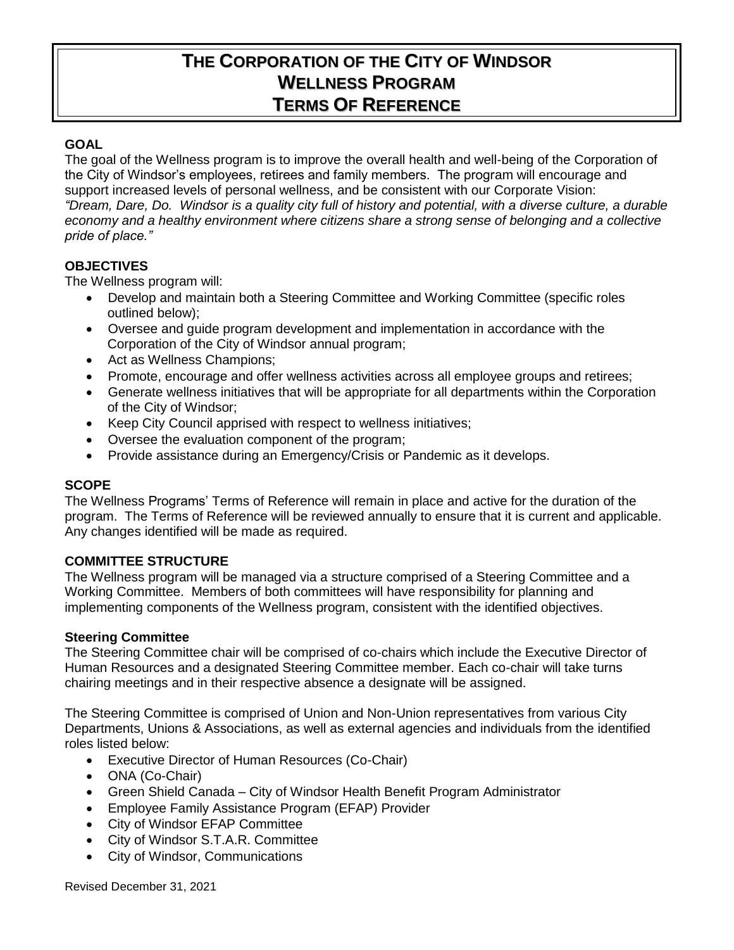# **THE CORPORATION OF THE CITY OF WINDSOR WELLNESS PROGRAM TERMS OF REFERENCE**

## **GOAL**

The goal of the Wellness program is to improve the overall health and well-being of the Corporation of the City of Windsor's employees, retirees and family members. The program will encourage and support increased levels of personal wellness, and be consistent with our Corporate Vision: *"Dream, Dare, Do. Windsor is a quality city full of history and potential, with a diverse culture, a durable economy and a healthy environment where citizens share a strong sense of belonging and a collective pride of place."*

# **OBJECTIVES**

The Wellness program will:

- Develop and maintain both a Steering Committee and Working Committee (specific roles outlined below);
- Oversee and guide program development and implementation in accordance with the Corporation of the City of Windsor annual program;
- Act as Wellness Champions;
- Promote, encourage and offer wellness activities across all employee groups and retirees;
- Generate wellness initiatives that will be appropriate for all departments within the Corporation of the City of Windsor;
- Keep City Council apprised with respect to wellness initiatives;
- Oversee the evaluation component of the program;
- Provide assistance during an Emergency/Crisis or Pandemic as it develops.

#### **SCOPE**

The Wellness Programs' Terms of Reference will remain in place and active for the duration of the program. The Terms of Reference will be reviewed annually to ensure that it is current and applicable. Any changes identified will be made as required.

### **COMMITTEE STRUCTURE**

The Wellness program will be managed via a structure comprised of a Steering Committee and a Working Committee. Members of both committees will have responsibility for planning and implementing components of the Wellness program, consistent with the identified objectives.

#### **Steering Committee**

The Steering Committee chair will be comprised of co-chairs which include the Executive Director of Human Resources and a designated Steering Committee member. Each co-chair will take turns chairing meetings and in their respective absence a designate will be assigned.

The Steering Committee is comprised of Union and Non-Union representatives from various City Departments, Unions & Associations, as well as external agencies and individuals from the identified roles listed below:

- Executive Director of Human Resources (Co-Chair)
- ONA (Co-Chair)
- Green Shield Canada City of Windsor Health Benefit Program Administrator
- Employee Family Assistance Program (EFAP) Provider
- City of Windsor EFAP Committee
- City of Windsor S.T.A.R. Committee
- City of Windsor, Communications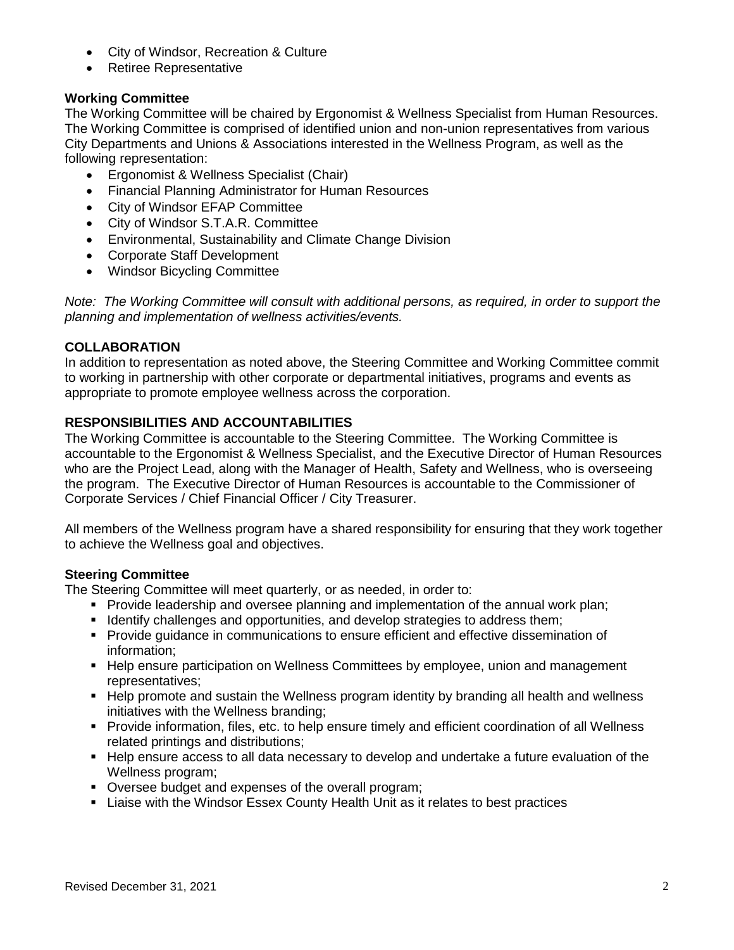- City of Windsor, Recreation & Culture
- Retiree Representative

# **Working Committee**

The Working Committee will be chaired by Ergonomist & Wellness Specialist from Human Resources. The Working Committee is comprised of identified union and non-union representatives from various City Departments and Unions & Associations interested in the Wellness Program, as well as the following representation:

- Ergonomist & Wellness Specialist (Chair)
- Financial Planning Administrator for Human Resources
- City of Windsor EFAP Committee
- City of Windsor S.T.A.R. Committee
- Environmental, Sustainability and Climate Change Division
- Corporate Staff Development
- Windsor Bicycling Committee

*Note: The Working Committee will consult with additional persons, as required, in order to support the planning and implementation of wellness activities/events.*

# **COLLABORATION**

In addition to representation as noted above, the Steering Committee and Working Committee commit to working in partnership with other corporate or departmental initiatives, programs and events as appropriate to promote employee wellness across the corporation.

# **RESPONSIBILITIES AND ACCOUNTABILITIES**

The Working Committee is accountable to the Steering Committee. The Working Committee is accountable to the Ergonomist & Wellness Specialist, and the Executive Director of Human Resources who are the Project Lead, along with the Manager of Health, Safety and Wellness, who is overseeing the program. The Executive Director of Human Resources is accountable to the Commissioner of Corporate Services / Chief Financial Officer / City Treasurer.

All members of the Wellness program have a shared responsibility for ensuring that they work together to achieve the Wellness goal and objectives.

### **Steering Committee**

The Steering Committee will meet quarterly, or as needed, in order to:

- **Provide leadership and oversee planning and implementation of the annual work plan;**
- **IDENTIFY** challenges and opportunities, and develop strategies to address them;
- **Provide guidance in communications to ensure efficient and effective dissemination of** information;
- **Help ensure participation on Wellness Committees by employee, union and management** representatives;
- Help promote and sustain the Wellness program identity by branding all health and wellness initiatives with the Wellness branding;
- Provide information, files, etc. to help ensure timely and efficient coordination of all Wellness related printings and distributions;
- Help ensure access to all data necessary to develop and undertake a future evaluation of the Wellness program;
- Oversee budget and expenses of the overall program;
- Liaise with the Windsor Essex County Health Unit as it relates to best practices